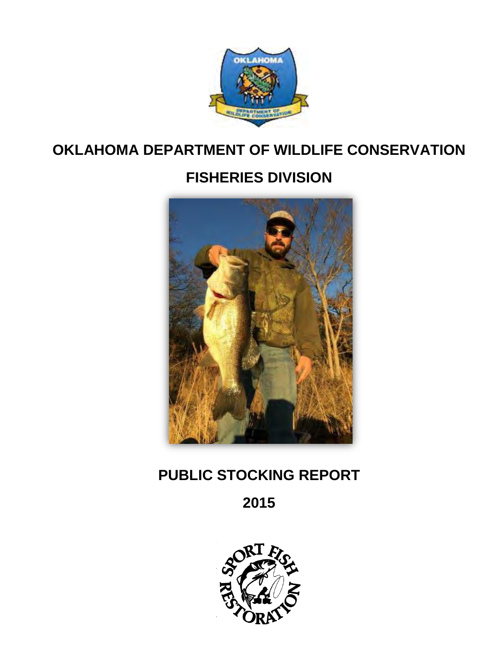

## **OKLAHOMA DEPARTMENT OF WILDLIFE CONSERVATION**

# **FISHERIES DIVISION**



## **PUBLIC STOCKING REPORT**

**2015** 

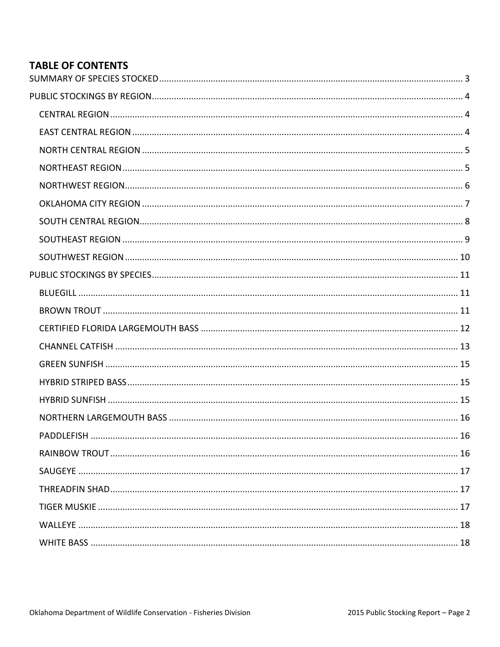## **TABLE OF CONTENTS**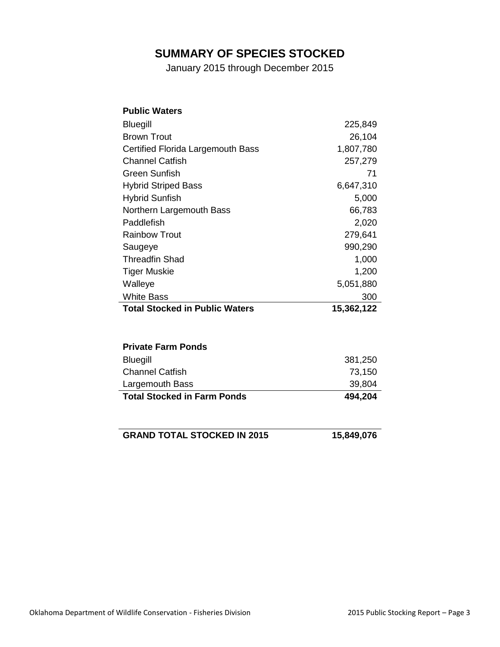## **SUMMARY OF SPECIES STOCKED**

January 2015 through December 2015

<span id="page-2-0"></span>

| <b>Public Waters</b>                  |            |
|---------------------------------------|------------|
| <b>Bluegill</b>                       | 225,849    |
| <b>Brown Trout</b>                    | 26,104     |
| Certified Florida Largemouth Bass     | 1,807,780  |
| <b>Channel Catfish</b>                | 257,279    |
| Green Sunfish                         | 71         |
| <b>Hybrid Striped Bass</b>            | 6,647,310  |
| <b>Hybrid Sunfish</b>                 | 5,000      |
| Northern Largemouth Bass              | 66,783     |
| Paddlefish                            | 2,020      |
| <b>Rainbow Trout</b>                  | 279,641    |
| Saugeye                               | 990,290    |
| <b>Threadfin Shad</b>                 | 1,000      |
| <b>Tiger Muskie</b>                   | 1,200      |
| Walleye                               | 5,051,880  |
| <b>White Bass</b>                     | 300        |
| <b>Total Stocked in Public Waters</b> | 15,362,122 |
|                                       |            |
| <b>Private Farm Ponds</b>             |            |
| <b>Bluegill</b>                       | 381,250    |
| <b>Channel Catfish</b>                | 73,150     |
| Largemouth Bass                       | 39,804     |
| <b>Total Stocked in Farm Ponds</b>    | 494,204    |
|                                       |            |
|                                       |            |

**GRAND TOTAL STOCKED IN 2015 15,849,076**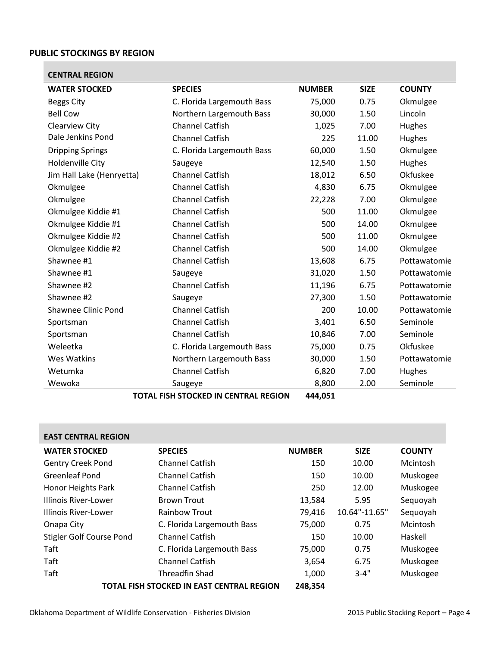### <span id="page-3-0"></span>**PUBLIC STOCKINGS BY REGION**

<span id="page-3-1"></span>

| <b>WATER STOCKED</b><br><b>SPECIES</b><br><b>NUMBER</b><br><b>SIZE</b><br><b>COUNTY</b><br>75,000<br>0.75<br>Okmulgee<br><b>Beggs City</b><br>C. Florida Largemouth Bass<br><b>Bell Cow</b><br>Northern Largemouth Bass<br>30,000<br>1.50<br>Lincoln<br><b>Channel Catfish</b><br>Clearview City<br>7.00<br>1,025<br>Hughes<br>Dale Jenkins Pond<br><b>Channel Catfish</b><br>225<br>11.00<br>Hughes<br><b>Dripping Springs</b><br>C. Florida Largemouth Bass<br>60,000<br>1.50<br>Okmulgee<br><b>Holdenville City</b><br>1.50<br>12,540<br>Hughes<br>Saugeye<br>Okfuskee<br>Jim Hall Lake (Henryetta)<br>Channel Catfish<br>18,012<br>6.50<br><b>Channel Catfish</b><br>4,830<br>Okmulgee<br>Okmulgee<br>6.75<br><b>Channel Catfish</b><br>7.00<br>Okmulgee<br>22,228<br>Okmulgee<br><b>Channel Catfish</b><br>500<br>Okmulgee Kiddie #1<br>11.00<br>Okmulgee<br><b>Channel Catfish</b><br>Okmulgee Kiddie #1<br>500<br>Okmulgee<br>14.00<br><b>Channel Catfish</b><br>Okmulgee<br>Okmulgee Kiddie #2<br>500<br>11.00<br>Okmulgee Kiddie #2<br><b>Channel Catfish</b><br>500<br>Okmulgee<br>14.00<br><b>Channel Catfish</b><br>Shawnee #1<br>13,608<br>6.75<br>Pottawatomie<br>Shawnee #1<br>31,020<br>1.50<br>Pottawatomie<br>Saugeye<br>Shawnee #2<br><b>Channel Catfish</b><br>11,196<br>6.75<br>Pottawatomie<br>Shawnee #2<br>27,300<br>1.50<br>Pottawatomie<br>Saugeye<br>Shawnee Clinic Pond<br><b>Channel Catfish</b><br>200<br>10.00<br>Pottawatomie<br><b>Channel Catfish</b><br>3,401<br>6.50<br>Seminole<br>Sportsman<br><b>Channel Catfish</b><br>7.00<br>10,846<br>Seminole<br>Sportsman<br>Okfuskee<br>Weleetka<br>C. Florida Largemouth Bass<br>75,000<br>0.75<br><b>Wes Watkins</b><br>Northern Largemouth Bass<br>30,000<br>1.50<br>Pottawatomie<br><b>Channel Catfish</b><br>Wetumka<br>6,820<br>7.00<br>Hughes<br>Seminole<br>Wewoka<br>8,800<br>2.00<br>Saugeye | <b>CENTRAL REGION</b> |  |  |
|--------------------------------------------------------------------------------------------------------------------------------------------------------------------------------------------------------------------------------------------------------------------------------------------------------------------------------------------------------------------------------------------------------------------------------------------------------------------------------------------------------------------------------------------------------------------------------------------------------------------------------------------------------------------------------------------------------------------------------------------------------------------------------------------------------------------------------------------------------------------------------------------------------------------------------------------------------------------------------------------------------------------------------------------------------------------------------------------------------------------------------------------------------------------------------------------------------------------------------------------------------------------------------------------------------------------------------------------------------------------------------------------------------------------------------------------------------------------------------------------------------------------------------------------------------------------------------------------------------------------------------------------------------------------------------------------------------------------------------------------------------------------------------------------------------------------------------------------------------------------------------------|-----------------------|--|--|
|                                                                                                                                                                                                                                                                                                                                                                                                                                                                                                                                                                                                                                                                                                                                                                                                                                                                                                                                                                                                                                                                                                                                                                                                                                                                                                                                                                                                                                                                                                                                                                                                                                                                                                                                                                                                                                                                                      |                       |  |  |
|                                                                                                                                                                                                                                                                                                                                                                                                                                                                                                                                                                                                                                                                                                                                                                                                                                                                                                                                                                                                                                                                                                                                                                                                                                                                                                                                                                                                                                                                                                                                                                                                                                                                                                                                                                                                                                                                                      |                       |  |  |
|                                                                                                                                                                                                                                                                                                                                                                                                                                                                                                                                                                                                                                                                                                                                                                                                                                                                                                                                                                                                                                                                                                                                                                                                                                                                                                                                                                                                                                                                                                                                                                                                                                                                                                                                                                                                                                                                                      |                       |  |  |
|                                                                                                                                                                                                                                                                                                                                                                                                                                                                                                                                                                                                                                                                                                                                                                                                                                                                                                                                                                                                                                                                                                                                                                                                                                                                                                                                                                                                                                                                                                                                                                                                                                                                                                                                                                                                                                                                                      |                       |  |  |
|                                                                                                                                                                                                                                                                                                                                                                                                                                                                                                                                                                                                                                                                                                                                                                                                                                                                                                                                                                                                                                                                                                                                                                                                                                                                                                                                                                                                                                                                                                                                                                                                                                                                                                                                                                                                                                                                                      |                       |  |  |
|                                                                                                                                                                                                                                                                                                                                                                                                                                                                                                                                                                                                                                                                                                                                                                                                                                                                                                                                                                                                                                                                                                                                                                                                                                                                                                                                                                                                                                                                                                                                                                                                                                                                                                                                                                                                                                                                                      |                       |  |  |
|                                                                                                                                                                                                                                                                                                                                                                                                                                                                                                                                                                                                                                                                                                                                                                                                                                                                                                                                                                                                                                                                                                                                                                                                                                                                                                                                                                                                                                                                                                                                                                                                                                                                                                                                                                                                                                                                                      |                       |  |  |
|                                                                                                                                                                                                                                                                                                                                                                                                                                                                                                                                                                                                                                                                                                                                                                                                                                                                                                                                                                                                                                                                                                                                                                                                                                                                                                                                                                                                                                                                                                                                                                                                                                                                                                                                                                                                                                                                                      |                       |  |  |
|                                                                                                                                                                                                                                                                                                                                                                                                                                                                                                                                                                                                                                                                                                                                                                                                                                                                                                                                                                                                                                                                                                                                                                                                                                                                                                                                                                                                                                                                                                                                                                                                                                                                                                                                                                                                                                                                                      |                       |  |  |
|                                                                                                                                                                                                                                                                                                                                                                                                                                                                                                                                                                                                                                                                                                                                                                                                                                                                                                                                                                                                                                                                                                                                                                                                                                                                                                                                                                                                                                                                                                                                                                                                                                                                                                                                                                                                                                                                                      |                       |  |  |
|                                                                                                                                                                                                                                                                                                                                                                                                                                                                                                                                                                                                                                                                                                                                                                                                                                                                                                                                                                                                                                                                                                                                                                                                                                                                                                                                                                                                                                                                                                                                                                                                                                                                                                                                                                                                                                                                                      |                       |  |  |
|                                                                                                                                                                                                                                                                                                                                                                                                                                                                                                                                                                                                                                                                                                                                                                                                                                                                                                                                                                                                                                                                                                                                                                                                                                                                                                                                                                                                                                                                                                                                                                                                                                                                                                                                                                                                                                                                                      |                       |  |  |
|                                                                                                                                                                                                                                                                                                                                                                                                                                                                                                                                                                                                                                                                                                                                                                                                                                                                                                                                                                                                                                                                                                                                                                                                                                                                                                                                                                                                                                                                                                                                                                                                                                                                                                                                                                                                                                                                                      |                       |  |  |
|                                                                                                                                                                                                                                                                                                                                                                                                                                                                                                                                                                                                                                                                                                                                                                                                                                                                                                                                                                                                                                                                                                                                                                                                                                                                                                                                                                                                                                                                                                                                                                                                                                                                                                                                                                                                                                                                                      |                       |  |  |
|                                                                                                                                                                                                                                                                                                                                                                                                                                                                                                                                                                                                                                                                                                                                                                                                                                                                                                                                                                                                                                                                                                                                                                                                                                                                                                                                                                                                                                                                                                                                                                                                                                                                                                                                                                                                                                                                                      |                       |  |  |
|                                                                                                                                                                                                                                                                                                                                                                                                                                                                                                                                                                                                                                                                                                                                                                                                                                                                                                                                                                                                                                                                                                                                                                                                                                                                                                                                                                                                                                                                                                                                                                                                                                                                                                                                                                                                                                                                                      |                       |  |  |
|                                                                                                                                                                                                                                                                                                                                                                                                                                                                                                                                                                                                                                                                                                                                                                                                                                                                                                                                                                                                                                                                                                                                                                                                                                                                                                                                                                                                                                                                                                                                                                                                                                                                                                                                                                                                                                                                                      |                       |  |  |
|                                                                                                                                                                                                                                                                                                                                                                                                                                                                                                                                                                                                                                                                                                                                                                                                                                                                                                                                                                                                                                                                                                                                                                                                                                                                                                                                                                                                                                                                                                                                                                                                                                                                                                                                                                                                                                                                                      |                       |  |  |
|                                                                                                                                                                                                                                                                                                                                                                                                                                                                                                                                                                                                                                                                                                                                                                                                                                                                                                                                                                                                                                                                                                                                                                                                                                                                                                                                                                                                                                                                                                                                                                                                                                                                                                                                                                                                                                                                                      |                       |  |  |
|                                                                                                                                                                                                                                                                                                                                                                                                                                                                                                                                                                                                                                                                                                                                                                                                                                                                                                                                                                                                                                                                                                                                                                                                                                                                                                                                                                                                                                                                                                                                                                                                                                                                                                                                                                                                                                                                                      |                       |  |  |
|                                                                                                                                                                                                                                                                                                                                                                                                                                                                                                                                                                                                                                                                                                                                                                                                                                                                                                                                                                                                                                                                                                                                                                                                                                                                                                                                                                                                                                                                                                                                                                                                                                                                                                                                                                                                                                                                                      |                       |  |  |
|                                                                                                                                                                                                                                                                                                                                                                                                                                                                                                                                                                                                                                                                                                                                                                                                                                                                                                                                                                                                                                                                                                                                                                                                                                                                                                                                                                                                                                                                                                                                                                                                                                                                                                                                                                                                                                                                                      |                       |  |  |
|                                                                                                                                                                                                                                                                                                                                                                                                                                                                                                                                                                                                                                                                                                                                                                                                                                                                                                                                                                                                                                                                                                                                                                                                                                                                                                                                                                                                                                                                                                                                                                                                                                                                                                                                                                                                                                                                                      |                       |  |  |
|                                                                                                                                                                                                                                                                                                                                                                                                                                                                                                                                                                                                                                                                                                                                                                                                                                                                                                                                                                                                                                                                                                                                                                                                                                                                                                                                                                                                                                                                                                                                                                                                                                                                                                                                                                                                                                                                                      |                       |  |  |
|                                                                                                                                                                                                                                                                                                                                                                                                                                                                                                                                                                                                                                                                                                                                                                                                                                                                                                                                                                                                                                                                                                                                                                                                                                                                                                                                                                                                                                                                                                                                                                                                                                                                                                                                                                                                                                                                                      |                       |  |  |

**TOTAL FISH STOCKED IN CENTRAL REGION 444,051**

<span id="page-3-2"></span>

| <b>EAST CENTRAL REGION</b>      |                                           |                |               |               |
|---------------------------------|-------------------------------------------|----------------|---------------|---------------|
| <b>WATER STOCKED</b>            | <b>SPECIES</b>                            | <b>NUMBER</b>  | <b>SIZE</b>   | <b>COUNTY</b> |
| <b>Gentry Creek Pond</b>        | <b>Channel Catfish</b>                    | 150            | 10.00         | Mcintosh      |
| <b>Greenleaf Pond</b>           | <b>Channel Catfish</b>                    | 150            | 10.00         | Muskogee      |
| <b>Honor Heights Park</b>       | <b>Channel Catfish</b>                    | 250            | 12.00         | Muskogee      |
| Illinois River-Lower            | <b>Brown Trout</b>                        | 13,584         | 5.95          | Sequoyah      |
| Illinois River-Lower            | <b>Rainbow Trout</b>                      | 79,416         | 10.64"-11.65" | Sequoyah      |
| Onapa City                      | C. Florida Largemouth Bass                | 75,000         | 0.75          | Mcintosh      |
| <b>Stigler Golf Course Pond</b> | <b>Channel Catfish</b>                    | 150            | 10.00         | Haskell       |
| Taft                            | C. Florida Largemouth Bass                | 75,000         | 0.75          | Muskogee      |
| Taft                            | <b>Channel Catfish</b>                    | 3,654          | 6.75          | Muskogee      |
| Taft                            | <b>Threadfin Shad</b>                     | 1,000          | $3 - 4"$      | Muskogee      |
|                                 | TOTAL EICH STOCKED IN EAST CENTRAL REGION | <b>GAO SEA</b> |               |               |

**TOTAL FISH STOCKED IN EAST CENTRAL REGION 248,354**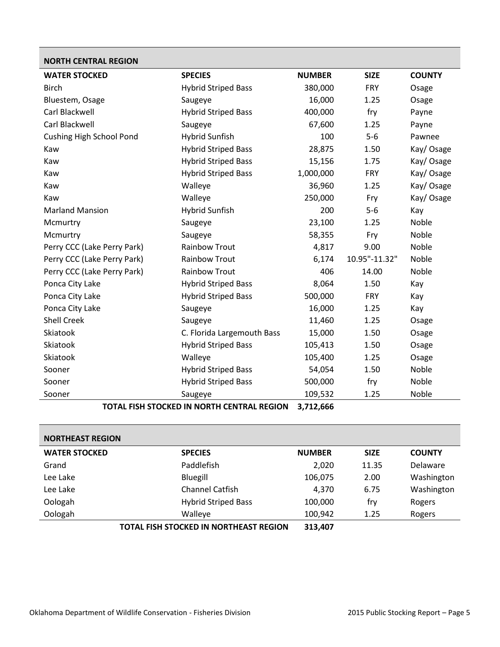<span id="page-4-0"></span>

| <b>NORTH CENTRAL REGION</b>     |                            |               |               |               |
|---------------------------------|----------------------------|---------------|---------------|---------------|
| <b>WATER STOCKED</b>            | <b>SPECIES</b>             | <b>NUMBER</b> | <b>SIZE</b>   | <b>COUNTY</b> |
| <b>Birch</b>                    | <b>Hybrid Striped Bass</b> | 380,000       | <b>FRY</b>    | Osage         |
| Bluestem, Osage                 | Saugeye                    | 16,000        | 1.25          | Osage         |
| Carl Blackwell                  | <b>Hybrid Striped Bass</b> | 400,000       | fry           | Payne         |
| Carl Blackwell                  | Saugeye                    | 67,600        | 1.25          | Payne         |
| <b>Cushing High School Pond</b> | <b>Hybrid Sunfish</b>      | 100           | $5-6$         | Pawnee        |
| Kaw                             | <b>Hybrid Striped Bass</b> | 28,875        | 1.50          | Kay/ Osage    |
| Kaw                             | <b>Hybrid Striped Bass</b> | 15,156        | 1.75          | Kay/ Osage    |
| Kaw                             | <b>Hybrid Striped Bass</b> | 1,000,000     | <b>FRY</b>    | Kay/Osage     |
| Kaw                             | Walleye                    | 36,960        | 1.25          | Kay/ Osage    |
| Kaw                             | Walleye                    | 250,000       | Fry           | Kay/Osage     |
| <b>Marland Mansion</b>          | <b>Hybrid Sunfish</b>      | 200           | $5-6$         | Kay           |
| Mcmurtry                        | Saugeye                    | 23,100        | 1.25          | Noble         |
| Mcmurtry                        | Saugeye                    | 58,355        | Fry           | Noble         |
| Perry CCC (Lake Perry Park)     | <b>Rainbow Trout</b>       | 4,817         | 9.00          | Noble         |
| Perry CCC (Lake Perry Park)     | <b>Rainbow Trout</b>       | 6,174         | 10.95"-11.32" | Noble         |
| Perry CCC (Lake Perry Park)     | <b>Rainbow Trout</b>       | 406           | 14.00         | Noble         |
| Ponca City Lake                 | <b>Hybrid Striped Bass</b> | 8,064         | 1.50          | Kay           |
| Ponca City Lake                 | <b>Hybrid Striped Bass</b> | 500,000       | <b>FRY</b>    | Kay           |
| Ponca City Lake                 | Saugeye                    | 16,000        | 1.25          | Kay           |
| Shell Creek                     | Saugeye                    | 11,460        | 1.25          | Osage         |
| Skiatook                        | C. Florida Largemouth Bass | 15,000        | 1.50          | Osage         |
| Skiatook                        | <b>Hybrid Striped Bass</b> | 105,413       | 1.50          | Osage         |

Sooner **Saugeye** Saugeye **109,532** 1.25 Noble **TOTAL FISH STOCKED IN NORTH CENTRAL REGION 3,712,666**

Skiatook Walleye 105,400 1.25 Osage Sooner **Hybrid Striped Bass** 54,054 1.50 Noble Sooner **Hybrid Striped Bass** 500,000 fry Noble

<span id="page-4-1"></span>

| <b>NORTHEAST REGION</b> |                                        |               |             |               |
|-------------------------|----------------------------------------|---------------|-------------|---------------|
| <b>WATER STOCKED</b>    | <b>SPECIES</b>                         | <b>NUMBER</b> | <b>SIZE</b> | <b>COUNTY</b> |
| Grand                   | Paddlefish                             | 2,020         | 11.35       | Delaware      |
| Lee Lake                | Bluegill                               | 106,075       | 2.00        | Washington    |
| Lee Lake                | <b>Channel Catfish</b>                 | 4,370         | 6.75        | Washington    |
| Oologah                 | <b>Hybrid Striped Bass</b>             | 100,000       | fry         | Rogers        |
| Oologah                 | Walleye                                | 100,942       | 1.25        | Rogers        |
|                         | TOTAL FISH STOCKED IN NORTHEAST REGION | 313,407       |             |               |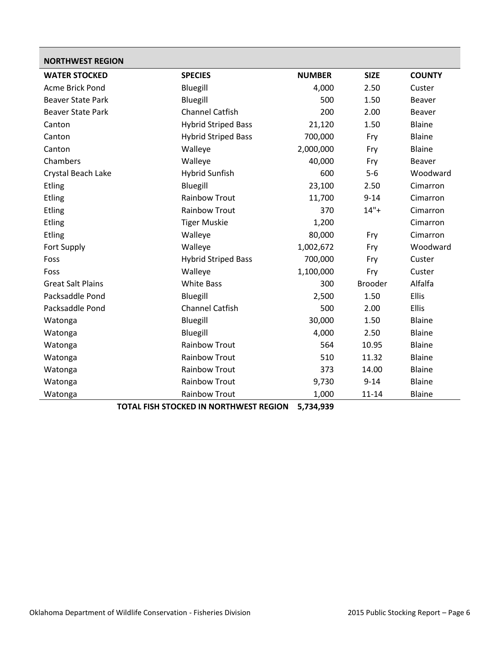<span id="page-5-0"></span>

| <b>NORTHWEST REGION</b>  |                            |               |                |               |
|--------------------------|----------------------------|---------------|----------------|---------------|
| <b>WATER STOCKED</b>     | <b>SPECIES</b>             | <b>NUMBER</b> | <b>SIZE</b>    | <b>COUNTY</b> |
| Acme Brick Pond          | Bluegill                   | 4,000         | 2.50           | Custer        |
| <b>Beaver State Park</b> | Bluegill                   | 500           | 1.50           | <b>Beaver</b> |
| <b>Beaver State Park</b> | <b>Channel Catfish</b>     | 200           | 2.00           | <b>Beaver</b> |
| Canton                   | <b>Hybrid Striped Bass</b> | 21,120        | 1.50           | Blaine        |
| Canton                   | <b>Hybrid Striped Bass</b> | 700,000       | Fry            | <b>Blaine</b> |
| Canton                   | Walleye                    | 2,000,000     | Fry            | Blaine        |
| Chambers                 | Walleye                    | 40,000        | Fry            | <b>Beaver</b> |
| Crystal Beach Lake       | <b>Hybrid Sunfish</b>      | 600           | $5-6$          | Woodward      |
| Etling                   | Bluegill                   | 23,100        | 2.50           | Cimarron      |
| Etling                   | <b>Rainbow Trout</b>       | 11,700        | $9 - 14$       | Cimarron      |
| <b>Etling</b>            | <b>Rainbow Trout</b>       | 370           | $14"+$         | Cimarron      |
| Etling                   | <b>Tiger Muskie</b>        | 1,200         |                | Cimarron      |
| <b>Etling</b>            | Walleye                    | 80,000        | Fry            | Cimarron      |
| Fort Supply              | Walleye                    | 1,002,672     | Fry            | Woodward      |
| Foss                     | <b>Hybrid Striped Bass</b> | 700,000       | Fry            | Custer        |
| Foss                     | Walleye                    | 1,100,000     | Fry            | Custer        |
| <b>Great Salt Plains</b> | <b>White Bass</b>          | 300           | <b>Brooder</b> | Alfalfa       |
| Packsaddle Pond          | Bluegill                   | 2,500         | 1.50           | Ellis         |
| Packsaddle Pond          | <b>Channel Catfish</b>     | 500           | 2.00           | Ellis         |
| Watonga                  | Bluegill                   | 30,000        | 1.50           | Blaine        |
| Watonga                  | Bluegill                   | 4,000         | 2.50           | <b>Blaine</b> |
| Watonga                  | <b>Rainbow Trout</b>       | 564           | 10.95          | Blaine        |
| Watonga                  | <b>Rainbow Trout</b>       | 510           | 11.32          | <b>Blaine</b> |
| Watonga                  | <b>Rainbow Trout</b>       | 373           | 14.00          | <b>Blaine</b> |
| Watonga                  | <b>Rainbow Trout</b>       | 9,730         | $9 - 14$       | Blaine        |
| Watonga                  | <b>Rainbow Trout</b>       | 1,000         | $11 - 14$      | <b>Blaine</b> |

**TOTAL FISH STOCKED IN NORTHWEST REGION 5,734,939**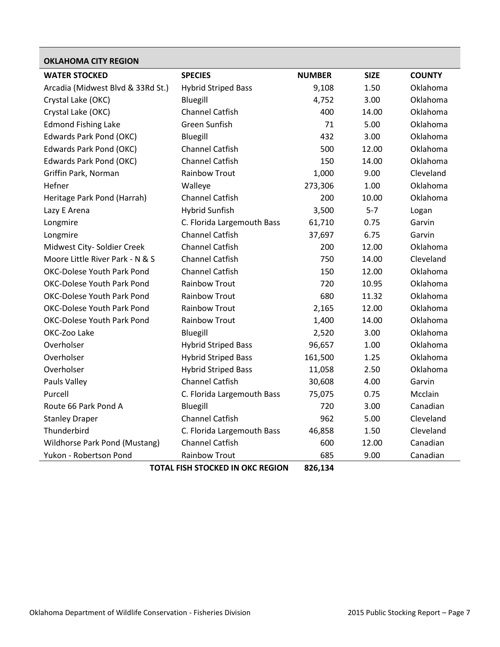<span id="page-6-0"></span>

| <b>OKLAHOMA CITY REGION</b>       |                            |               |             |               |
|-----------------------------------|----------------------------|---------------|-------------|---------------|
| <b>WATER STOCKED</b>              | <b>SPECIES</b>             | <b>NUMBER</b> | <b>SIZE</b> | <b>COUNTY</b> |
| Arcadia (Midwest Blvd & 33Rd St.) | <b>Hybrid Striped Bass</b> | 9,108         | 1.50        | Oklahoma      |
| Crystal Lake (OKC)                | Bluegill                   | 4,752         | 3.00        | Oklahoma      |
| Crystal Lake (OKC)                | <b>Channel Catfish</b>     | 400           | 14.00       | Oklahoma      |
| <b>Edmond Fishing Lake</b>        | Green Sunfish              | 71            | 5.00        | Oklahoma      |
| Edwards Park Pond (OKC)           | Bluegill                   | 432           | 3.00        | Oklahoma      |
| <b>Edwards Park Pond (OKC)</b>    | <b>Channel Catfish</b>     | 500           | 12.00       | Oklahoma      |
| Edwards Park Pond (OKC)           | <b>Channel Catfish</b>     | 150           | 14.00       | Oklahoma      |
| Griffin Park, Norman              | <b>Rainbow Trout</b>       | 1,000         | 9.00        | Cleveland     |
| Hefner                            | Walleye                    | 273,306       | 1.00        | Oklahoma      |
| Heritage Park Pond (Harrah)       | <b>Channel Catfish</b>     | 200           | 10.00       | Oklahoma      |
| Lazy E Arena                      | <b>Hybrid Sunfish</b>      | 3,500         | $5 - 7$     | Logan         |
| Longmire                          | C. Florida Largemouth Bass | 61,710        | 0.75        | Garvin        |
| Longmire                          | <b>Channel Catfish</b>     | 37,697        | 6.75        | Garvin        |
| Midwest City- Soldier Creek       | <b>Channel Catfish</b>     | 200           | 12.00       | Oklahoma      |
| Moore Little River Park - N & S   | <b>Channel Catfish</b>     | 750           | 14.00       | Cleveland     |
| <b>OKC-Dolese Youth Park Pond</b> | <b>Channel Catfish</b>     | 150           | 12.00       | Oklahoma      |
| <b>OKC-Dolese Youth Park Pond</b> | <b>Rainbow Trout</b>       | 720           | 10.95       | Oklahoma      |
| <b>OKC-Dolese Youth Park Pond</b> | <b>Rainbow Trout</b>       | 680           | 11.32       | Oklahoma      |
| <b>OKC-Dolese Youth Park Pond</b> | <b>Rainbow Trout</b>       | 2,165         | 12.00       | Oklahoma      |
| <b>OKC-Dolese Youth Park Pond</b> | <b>Rainbow Trout</b>       | 1,400         | 14.00       | Oklahoma      |
| OKC-Zoo Lake                      | Bluegill                   | 2,520         | 3.00        | Oklahoma      |
| Overholser                        | <b>Hybrid Striped Bass</b> | 96,657        | 1.00        | Oklahoma      |
| Overholser                        | <b>Hybrid Striped Bass</b> | 161,500       | 1.25        | Oklahoma      |
| Overholser                        | <b>Hybrid Striped Bass</b> | 11,058        | 2.50        | Oklahoma      |
| Pauls Valley                      | <b>Channel Catfish</b>     | 30,608        | 4.00        | Garvin        |
| Purcell                           | C. Florida Largemouth Bass | 75,075        | 0.75        | Mcclain       |
| Route 66 Park Pond A              | Bluegill                   | 720           | 3.00        | Canadian      |
| <b>Stanley Draper</b>             | <b>Channel Catfish</b>     | 962           | 5.00        | Cleveland     |
| Thunderbird                       | C. Florida Largemouth Bass | 46,858        | 1.50        | Cleveland     |
| Wildhorse Park Pond (Mustang)     | <b>Channel Catfish</b>     | 600           | 12.00       | Canadian      |
| Yukon - Robertson Pond            | <b>Rainbow Trout</b>       | 685           | 9.00        | Canadian      |

**TOTAL FISH STOCKED IN OKC REGION 826,134**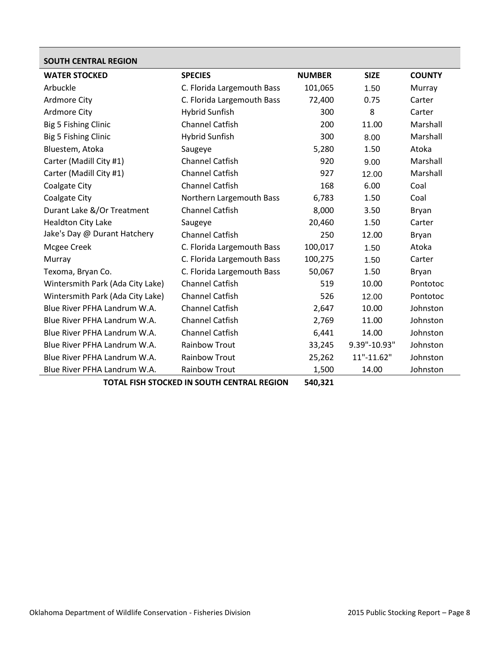<span id="page-7-0"></span>

| <b>SOUTH CENTRAL REGION</b>      |                            |               |              |               |
|----------------------------------|----------------------------|---------------|--------------|---------------|
| <b>WATER STOCKED</b>             | <b>SPECIES</b>             | <b>NUMBER</b> | <b>SIZE</b>  | <b>COUNTY</b> |
| Arbuckle                         | C. Florida Largemouth Bass | 101,065       | 1.50         | Murray        |
| <b>Ardmore City</b>              | C. Florida Largemouth Bass | 72,400        | 0.75         | Carter        |
| <b>Ardmore City</b>              | <b>Hybrid Sunfish</b>      | 300           | 8            | Carter        |
| Big 5 Fishing Clinic             | <b>Channel Catfish</b>     | 200           | 11.00        | Marshall      |
| Big 5 Fishing Clinic             | <b>Hybrid Sunfish</b>      | 300           | 8.00         | Marshall      |
| Bluestem, Atoka                  | Saugeye                    | 5,280         | 1.50         | Atoka         |
| Carter (Madill City #1)          | <b>Channel Catfish</b>     | 920           | 9.00         | Marshall      |
| Carter (Madill City #1)          | <b>Channel Catfish</b>     | 927           | 12.00        | Marshall      |
| <b>Coalgate City</b>             | <b>Channel Catfish</b>     | 168           | 6.00         | Coal          |
| <b>Coalgate City</b>             | Northern Largemouth Bass   | 6,783         | 1.50         | Coal          |
| Durant Lake &/Or Treatment       | <b>Channel Catfish</b>     | 8,000         | 3.50         | Bryan         |
| <b>Healdton City Lake</b>        | Saugeye                    | 20,460        | 1.50         | Carter        |
| Jake's Day @ Durant Hatchery     | <b>Channel Catfish</b>     | 250           | 12.00        | Bryan         |
| Mcgee Creek                      | C. Florida Largemouth Bass | 100,017       | 1.50         | Atoka         |
| Murray                           | C. Florida Largemouth Bass | 100,275       | 1.50         | Carter        |
| Texoma, Bryan Co.                | C. Florida Largemouth Bass | 50,067        | 1.50         | Bryan         |
| Wintersmith Park (Ada City Lake) | <b>Channel Catfish</b>     | 519           | 10.00        | Pontotoc      |
| Wintersmith Park (Ada City Lake) | <b>Channel Catfish</b>     | 526           | 12.00        | Pontotoc      |
| Blue River PFHA Landrum W.A.     | <b>Channel Catfish</b>     | 2,647         | 10.00        | Johnston      |
| Blue River PFHA Landrum W.A.     | <b>Channel Catfish</b>     | 2,769         | 11.00        | Johnston      |
| Blue River PFHA Landrum W.A.     | <b>Channel Catfish</b>     | 6,441         | 14.00        | Johnston      |
| Blue River PFHA Landrum W.A.     | <b>Rainbow Trout</b>       | 33,245        | 9.39"-10.93" | Johnston      |
| Blue River PFHA Landrum W.A.     | <b>Rainbow Trout</b>       | 25,262        | 11"-11.62"   | Johnston      |
| Blue River PFHA Landrum W.A.     | <b>Rainbow Trout</b>       | 1,500         | 14.00        | Johnston      |

**TOTAL FISH STOCKED IN SOUTH CENTRAL REGION 540,321**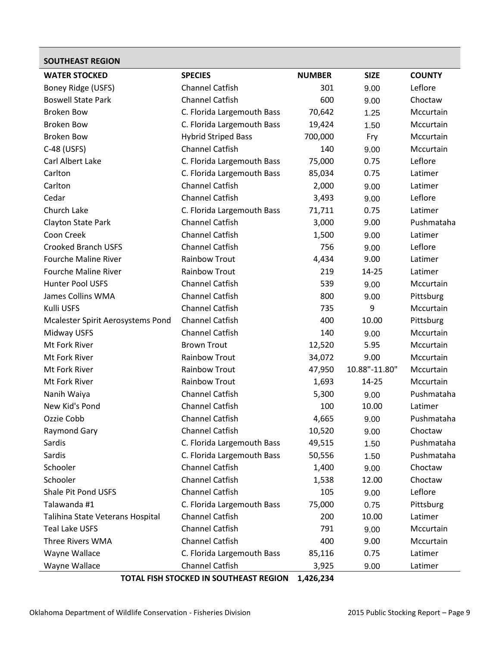<span id="page-8-0"></span>

| <b>SOUTHEAST REGION</b>           |                            |               |               |               |
|-----------------------------------|----------------------------|---------------|---------------|---------------|
| <b>WATER STOCKED</b>              | <b>SPECIES</b>             | <b>NUMBER</b> | <b>SIZE</b>   | <b>COUNTY</b> |
| Boney Ridge (USFS)                | <b>Channel Catfish</b>     | 301           | 9.00          | Leflore       |
| <b>Boswell State Park</b>         | <b>Channel Catfish</b>     | 600           | 9.00          | Choctaw       |
| <b>Broken Bow</b>                 | C. Florida Largemouth Bass | 70,642        | 1.25          | Mccurtain     |
| <b>Broken Bow</b>                 | C. Florida Largemouth Bass | 19,424        | 1.50          | Mccurtain     |
| <b>Broken Bow</b>                 | <b>Hybrid Striped Bass</b> | 700,000       | Fry           | Mccurtain     |
| C-48 (USFS)                       | <b>Channel Catfish</b>     | 140           | 9.00          | Mccurtain     |
| Carl Albert Lake                  | C. Florida Largemouth Bass | 75,000        | 0.75          | Leflore       |
| Carlton                           | C. Florida Largemouth Bass | 85,034        | 0.75          | Latimer       |
| Carlton                           | <b>Channel Catfish</b>     | 2,000         | 9.00          | Latimer       |
| Cedar                             | <b>Channel Catfish</b>     | 3,493         | 9.00          | Leflore       |
| Church Lake                       | C. Florida Largemouth Bass | 71,711        | 0.75          | Latimer       |
| Clayton State Park                | <b>Channel Catfish</b>     | 3,000         | 9.00          | Pushmataha    |
| Coon Creek                        | <b>Channel Catfish</b>     | 1,500         | 9.00          | Latimer       |
| <b>Crooked Branch USFS</b>        | <b>Channel Catfish</b>     | 756           | 9.00          | Leflore       |
| Fourche Maline River              | <b>Rainbow Trout</b>       | 4,434         | 9.00          | Latimer       |
| <b>Fourche Maline River</b>       | <b>Rainbow Trout</b>       | 219           | 14-25         | Latimer       |
| <b>Hunter Pool USFS</b>           | <b>Channel Catfish</b>     | 539           | 9.00          | Mccurtain     |
| James Collins WMA                 | <b>Channel Catfish</b>     | 800           | 9.00          | Pittsburg     |
| Kulli USFS                        | <b>Channel Catfish</b>     | 735           | 9             | Mccurtain     |
| Mcalester Spirit Aerosystems Pond | <b>Channel Catfish</b>     | 400           | 10.00         | Pittsburg     |
| Midway USFS                       | <b>Channel Catfish</b>     | 140           | 9.00          | Mccurtain     |
| Mt Fork River                     | <b>Brown Trout</b>         | 12,520        | 5.95          | Mccurtain     |
| Mt Fork River                     | <b>Rainbow Trout</b>       | 34,072        | 9.00          | Mccurtain     |
| Mt Fork River                     | <b>Rainbow Trout</b>       | 47,950        | 10.88"-11.80" | Mccurtain     |
| Mt Fork River                     | <b>Rainbow Trout</b>       | 1,693         | 14-25         | Mccurtain     |
| Nanih Waiya                       | <b>Channel Catfish</b>     | 5,300         | 9.00          | Pushmataha    |
| New Kid's Pond                    | <b>Channel Catfish</b>     | 100           | 10.00         | Latimer       |
| Ozzie Cobb                        | <b>Channel Catfish</b>     | 4,665         | 9.00          | Pushmataha    |
| <b>Raymond Gary</b>               | <b>Channel Catfish</b>     | 10,520        | 9.00          | Choctaw       |
| Sardis                            | C. Florida Largemouth Bass | 49,515        | 1.50          | Pushmataha    |
| Sardis                            | C. Florida Largemouth Bass | 50,556        | 1.50          | Pushmataha    |
| Schooler                          | <b>Channel Catfish</b>     | 1,400         | 9.00          | Choctaw       |
| Schooler                          | <b>Channel Catfish</b>     | 1,538         | 12.00         | Choctaw       |
| Shale Pit Pond USFS               | <b>Channel Catfish</b>     | 105           | 9.00          | Leflore       |
| Talawanda #1                      | C. Florida Largemouth Bass | 75,000        | 0.75          | Pittsburg     |
| Talihina State Veterans Hospital  | <b>Channel Catfish</b>     | 200           | 10.00         | Latimer       |
| <b>Teal Lake USFS</b>             | <b>Channel Catfish</b>     | 791           | 9.00          | Mccurtain     |
| Three Rivers WMA                  | <b>Channel Catfish</b>     | 400           | 9.00          | Mccurtain     |
| Wayne Wallace                     | C. Florida Largemouth Bass | 85,116        | 0.75          | Latimer       |
| Wayne Wallace                     | Channel Catfish            | 3,925         | 9.00          | Latimer       |

**TOTAL FISH STOCKED IN SOUTHEAST REGION 1,426,234**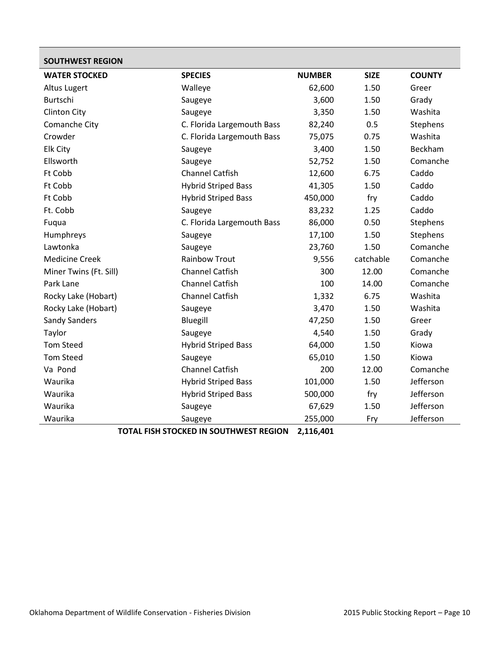<span id="page-9-0"></span>

| <b>SOUTHWEST REGION</b> |                                         |               |             |               |
|-------------------------|-----------------------------------------|---------------|-------------|---------------|
| <b>WATER STOCKED</b>    | <b>SPECIES</b>                          | <b>NUMBER</b> | <b>SIZE</b> | <b>COUNTY</b> |
| Altus Lugert            | Walleye                                 | 62,600        | 1.50        | Greer         |
| Burtschi                | Saugeye                                 | 3,600         | 1.50        | Grady         |
| <b>Clinton City</b>     | Saugeye                                 | 3,350         | 1.50        | Washita       |
| Comanche City           | C. Florida Largemouth Bass              | 82,240        | 0.5         | Stephens      |
| Crowder                 | C. Florida Largemouth Bass              | 75,075        | 0.75        | Washita       |
| Elk City                | Saugeye                                 | 3,400         | 1.50        | Beckham       |
| Ellsworth               | Saugeye                                 | 52,752        | 1.50        | Comanche      |
| Ft Cobb                 | <b>Channel Catfish</b>                  | 12,600        | 6.75        | Caddo         |
| Ft Cobb                 | <b>Hybrid Striped Bass</b>              | 41,305        | 1.50        | Caddo         |
| Ft Cobb                 | <b>Hybrid Striped Bass</b>              | 450,000       | fry         | Caddo         |
| Ft. Cobb                | Saugeye                                 | 83,232        | 1.25        | Caddo         |
| Fuqua                   | C. Florida Largemouth Bass              | 86,000        | 0.50        | Stephens      |
| Humphreys               | Saugeye                                 | 17,100        | 1.50        | Stephens      |
| Lawtonka                | Saugeye                                 | 23,760        | 1.50        | Comanche      |
| <b>Medicine Creek</b>   | <b>Rainbow Trout</b>                    | 9,556         | catchable   | Comanche      |
| Miner Twins (Ft. Sill)  | <b>Channel Catfish</b>                  | 300           | 12.00       | Comanche      |
| Park Lane               | <b>Channel Catfish</b>                  | 100           | 14.00       | Comanche      |
| Rocky Lake (Hobart)     | <b>Channel Catfish</b>                  | 1,332         | 6.75        | Washita       |
| Rocky Lake (Hobart)     | Saugeye                                 | 3,470         | 1.50        | Washita       |
| <b>Sandy Sanders</b>    | Bluegill                                | 47,250        | 1.50        | Greer         |
| Taylor                  | Saugeye                                 | 4,540         | 1.50        | Grady         |
| <b>Tom Steed</b>        | <b>Hybrid Striped Bass</b>              | 64,000        | 1.50        | Kiowa         |
| <b>Tom Steed</b>        | Saugeye                                 | 65,010        | 1.50        | Kiowa         |
| Va Pond                 | <b>Channel Catfish</b>                  | 200           | 12.00       | Comanche      |
| Waurika                 | <b>Hybrid Striped Bass</b>              | 101,000       | 1.50        | Jefferson     |
| Waurika                 | <b>Hybrid Striped Bass</b>              | 500,000       | fry         | Jefferson     |
| Waurika                 | Saugeye                                 | 67,629        | 1.50        | Jefferson     |
| Waurika                 | Saugeye                                 | 255,000       | Fry         | Jefferson     |
|                         | TOTAL EICH STOCKED IN SOLITHWEST BEGION | 2.116.01      |             |               |

**TOTAL FISH STOCKED IN SOUTHWEST REGION 2,116,401**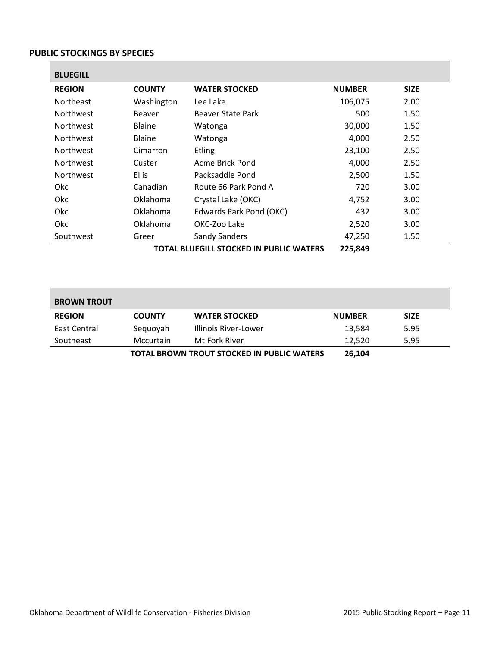#### <span id="page-10-0"></span>**PUBLIC STOCKINGS BY SPECIES**

<span id="page-10-1"></span>

| <b>REGION</b>    | <b>COUNTY</b>   | <b>WATER STOCKED</b>    | <b>NUMBER</b> | <b>SIZE</b> |
|------------------|-----------------|-------------------------|---------------|-------------|
| <b>Northeast</b> | Washington      | Lee Lake                | 106,075       | 2.00        |
| <b>Northwest</b> | Beaver          | Beaver State Park       | 500           | 1.50        |
| <b>Northwest</b> | <b>Blaine</b>   | Watonga                 | 30,000        | 1.50        |
| <b>Northwest</b> | <b>Blaine</b>   | Watonga                 | 4,000         | 2.50        |
| <b>Northwest</b> | Cimarron        | <b>Etling</b>           | 23,100        | 2.50        |
| <b>Northwest</b> | Custer          | Acme Brick Pond         | 4,000         | 2.50        |
| <b>Northwest</b> | <b>Ellis</b>    | Packsaddle Pond         | 2,500         | 1.50        |
| 0kc              | Canadian        | Route 66 Park Pond A    | 720           | 3.00        |
| Okc.             | <b>Oklahoma</b> | Crystal Lake (OKC)      | 4,752         | 3.00        |
| <b>Okc</b>       | Oklahoma        | Edwards Park Pond (OKC) | 432           | 3.00        |
| Okc              | Oklahoma        | OKC-Zoo Lake            | 2,520         | 3.00        |
| Southwest        | Greer           | Sandy Sanders           | 47,250        | 1.50        |

<span id="page-10-2"></span>

| <b>BROWN TROUT</b>                                |               |                      |               |             |
|---------------------------------------------------|---------------|----------------------|---------------|-------------|
| <b>REGION</b>                                     | <b>COUNTY</b> | <b>WATER STOCKED</b> | <b>NUMBER</b> | <b>SIZE</b> |
| East Central                                      | Seguoyah      | Illinois River-Lower | 13,584        | 5.95        |
| Southeast                                         | Mccurtain     | Mt Fork River        | 12.520        | 5.95        |
| <b>TOTAL BROWN TROUT STOCKED IN PUBLIC WATERS</b> |               |                      | 26,104        |             |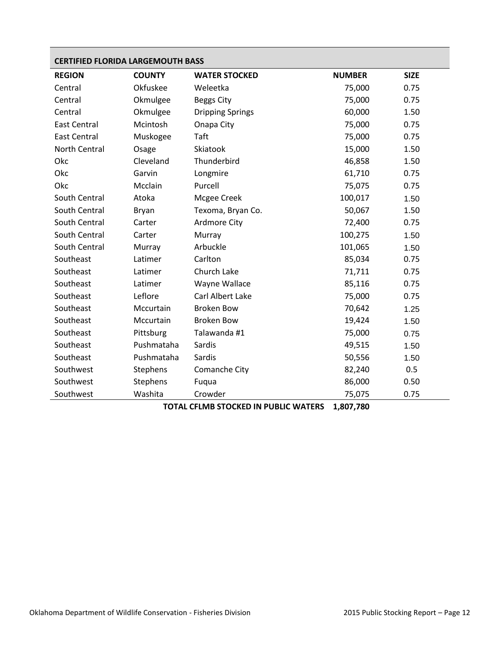<span id="page-11-0"></span>

| <b>CERTIFIED FLORIDA LARGEMOUTH BASS</b> |               |                         |               |             |
|------------------------------------------|---------------|-------------------------|---------------|-------------|
| <b>REGION</b>                            | <b>COUNTY</b> | <b>WATER STOCKED</b>    | <b>NUMBER</b> | <b>SIZE</b> |
| Central                                  | Okfuskee      | Weleetka                | 75,000        | 0.75        |
| Central                                  | Okmulgee      | <b>Beggs City</b>       | 75,000        | 0.75        |
| Central                                  | Okmulgee      | <b>Dripping Springs</b> | 60,000        | 1.50        |
| <b>East Central</b>                      | Mcintosh      | Onapa City              | 75,000        | 0.75        |
| <b>East Central</b>                      | Muskogee      | Taft                    | 75,000        | 0.75        |
| North Central                            | Osage         | Skiatook                | 15,000        | 1.50        |
| Okc                                      | Cleveland     | Thunderbird             | 46,858        | 1.50        |
| Okc                                      | Garvin        | Longmire                | 61,710        | 0.75        |
| Okc                                      | Mcclain       | Purcell                 | 75,075        | 0.75        |
| South Central                            | Atoka         | Mcgee Creek             | 100,017       | 1.50        |
| South Central                            | Bryan         | Texoma, Bryan Co.       | 50,067        | 1.50        |
| South Central                            | Carter        | <b>Ardmore City</b>     | 72,400        | 0.75        |
| South Central                            | Carter        | Murray                  | 100,275       | 1.50        |
| South Central                            | Murray        | Arbuckle                | 101,065       | 1.50        |
| Southeast                                | Latimer       | Carlton                 | 85,034        | 0.75        |
| Southeast                                | Latimer       | Church Lake             | 71,711        | 0.75        |
| Southeast                                | Latimer       | Wayne Wallace           | 85,116        | 0.75        |
| Southeast                                | Leflore       | Carl Albert Lake        | 75,000        | 0.75        |
| Southeast                                | Mccurtain     | <b>Broken Bow</b>       | 70,642        | 1.25        |
| Southeast                                | Mccurtain     | <b>Broken Bow</b>       | 19,424        | 1.50        |
| Southeast                                | Pittsburg     | Talawanda #1            | 75,000        | 0.75        |
| Southeast                                | Pushmataha    | Sardis                  | 49,515        | 1.50        |
| Southeast                                | Pushmataha    | Sardis                  | 50,556        | 1.50        |
| Southwest                                | Stephens      | Comanche City           | 82,240        | 0.5         |
| Southwest                                | Stephens      | Fuqua                   | 86,000        | 0.50        |
| Southwest                                | Washita       | Crowder                 | 75,075        | 0.75        |

**TOTAL CFLMB STOCKED IN PUBLIC WATERS 1,807,780**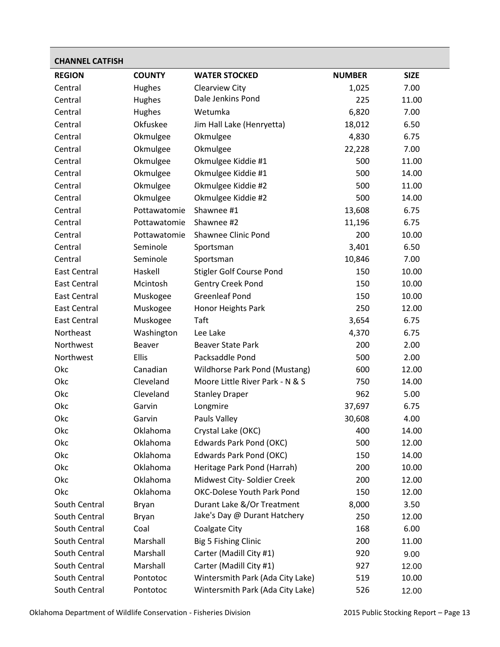<span id="page-12-0"></span>

| <b>CHANNEL CATFISH</b> |               |                                   |               |             |
|------------------------|---------------|-----------------------------------|---------------|-------------|
| <b>REGION</b>          | <b>COUNTY</b> | <b>WATER STOCKED</b>              | <b>NUMBER</b> | <b>SIZE</b> |
| Central                | Hughes        | Clearview City                    | 1,025         | 7.00        |
| Central                | Hughes        | Dale Jenkins Pond                 | 225           | 11.00       |
| Central                | Hughes        | Wetumka                           | 6,820         | 7.00        |
| Central                | Okfuskee      | Jim Hall Lake (Henryetta)         | 18,012        | 6.50        |
| Central                | Okmulgee      | Okmulgee                          | 4,830         | 6.75        |
| Central                | Okmulgee      | Okmulgee                          | 22,228        | 7.00        |
| Central                | Okmulgee      | Okmulgee Kiddie #1                | 500           | 11.00       |
| Central                | Okmulgee      | Okmulgee Kiddie #1                | 500           | 14.00       |
| Central                | Okmulgee      | Okmulgee Kiddie #2                | 500           | 11.00       |
| Central                | Okmulgee      | Okmulgee Kiddie #2                | 500           | 14.00       |
| Central                | Pottawatomie  | Shawnee #1                        | 13,608        | 6.75        |
| Central                | Pottawatomie  | Shawnee #2                        | 11,196        | 6.75        |
| Central                | Pottawatomie  | <b>Shawnee Clinic Pond</b>        | 200           | 10.00       |
| Central                | Seminole      | Sportsman                         | 3,401         | 6.50        |
| Central                | Seminole      | Sportsman                         | 10,846        | 7.00        |
| <b>East Central</b>    | Haskell       | <b>Stigler Golf Course Pond</b>   | 150           | 10.00       |
| <b>East Central</b>    | Mcintosh      | <b>Gentry Creek Pond</b>          | 150           | 10.00       |
| <b>East Central</b>    | Muskogee      | <b>Greenleaf Pond</b>             | 150           | 10.00       |
| <b>East Central</b>    | Muskogee      | Honor Heights Park                | 250           | 12.00       |
| <b>East Central</b>    | Muskogee      | Taft                              | 3,654         | 6.75        |
| Northeast              | Washington    | Lee Lake                          | 4,370         | 6.75        |
| Northwest              | Beaver        | <b>Beaver State Park</b>          | 200           | 2.00        |
| Northwest              | Ellis         | Packsaddle Pond                   | 500           | 2.00        |
| Okc                    | Canadian      | Wildhorse Park Pond (Mustang)     | 600           | 12.00       |
| Okc                    | Cleveland     | Moore Little River Park - N & S   | 750           | 14.00       |
| Okc                    | Cleveland     | <b>Stanley Draper</b>             | 962           | 5.00        |
| Okc                    | Garvin        | Longmire                          | 37,697        | 6.75        |
| Okc                    | Garvin        | Pauls Valley                      | 30,608        | 4.00        |
| Okc                    | Oklahoma      | Crystal Lake (OKC)                | 400           | 14.00       |
| Okc                    | Oklahoma      | Edwards Park Pond (OKC)           | 500           | 12.00       |
| Okc                    | Oklahoma      | <b>Edwards Park Pond (OKC)</b>    | 150           | 14.00       |
| Okc                    | Oklahoma      | Heritage Park Pond (Harrah)       | 200           | 10.00       |
| Okc                    | Oklahoma      | Midwest City- Soldier Creek       | 200           | 12.00       |
| Okc                    | Oklahoma      | <b>OKC-Dolese Youth Park Pond</b> | 150           | 12.00       |
| South Central          | Bryan         | Durant Lake &/Or Treatment        | 8,000         | 3.50        |
| South Central          | Bryan         | Jake's Day @ Durant Hatchery      | 250           | 12.00       |
| South Central          | Coal          | Coalgate City                     | 168           | 6.00        |
| South Central          | Marshall      | Big 5 Fishing Clinic              | 200           | 11.00       |
| South Central          | Marshall      | Carter (Madill City #1)           | 920           | 9.00        |
| South Central          | Marshall      | Carter (Madill City #1)           | 927           | 12.00       |
| South Central          | Pontotoc      | Wintersmith Park (Ada City Lake)  | 519           | 10.00       |
| South Central          | Pontotoc      | Wintersmith Park (Ada City Lake)  | 526           | 12.00       |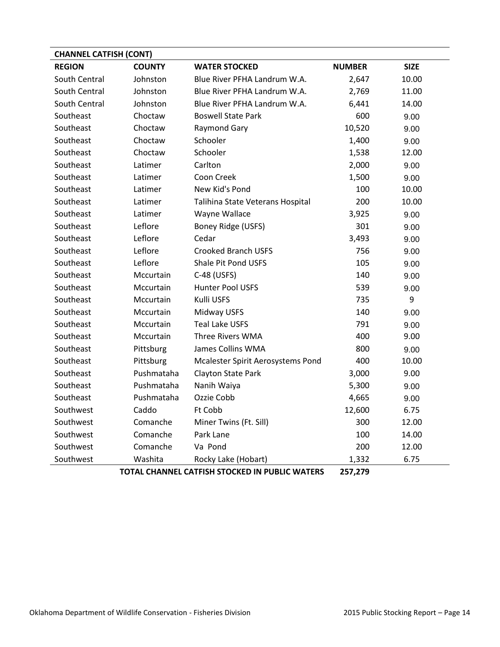| <b>CHANNEL CATFISH (CONT)</b> |               |                                                |               |             |
|-------------------------------|---------------|------------------------------------------------|---------------|-------------|
| <b>REGION</b>                 | <b>COUNTY</b> | <b>WATER STOCKED</b>                           | <b>NUMBER</b> | <b>SIZE</b> |
| South Central                 | Johnston      | Blue River PFHA Landrum W.A.                   | 2,647         | 10.00       |
| South Central                 | Johnston      | Blue River PFHA Landrum W.A.                   | 2,769         | 11.00       |
| South Central                 | Johnston      | Blue River PFHA Landrum W.A.                   | 6,441         | 14.00       |
| Southeast                     | Choctaw       | <b>Boswell State Park</b>                      | 600           | 9.00        |
| Southeast                     | Choctaw       | <b>Raymond Gary</b>                            | 10,520        | 9.00        |
| Southeast                     | Choctaw       | Schooler                                       | 1,400         | 9.00        |
| Southeast                     | Choctaw       | Schooler                                       | 1,538         | 12.00       |
| Southeast                     | Latimer       | Carlton                                        | 2,000         | 9.00        |
| Southeast                     | Latimer       | Coon Creek                                     | 1,500         | 9.00        |
| Southeast                     | Latimer       | New Kid's Pond                                 | 100           | 10.00       |
| Southeast                     | Latimer       | Talihina State Veterans Hospital               | 200           | 10.00       |
| Southeast                     | Latimer       | Wayne Wallace                                  | 3,925         | 9.00        |
| Southeast                     | Leflore       | Boney Ridge (USFS)                             | 301           | 9.00        |
| Southeast                     | Leflore       | Cedar                                          | 3,493         | 9.00        |
| Southeast                     | Leflore       | <b>Crooked Branch USFS</b>                     | 756           | 9.00        |
| Southeast                     | Leflore       | Shale Pit Pond USFS                            | 105           | 9.00        |
| Southeast                     | Mccurtain     | C-48 (USFS)                                    | 140           | 9.00        |
| Southeast                     | Mccurtain     | Hunter Pool USFS                               | 539           | 9.00        |
| Southeast                     | Mccurtain     | Kulli USFS                                     | 735           | 9           |
| Southeast                     | Mccurtain     | Midway USFS                                    | 140           | 9.00        |
| Southeast                     | Mccurtain     | <b>Teal Lake USFS</b>                          | 791           | 9.00        |
| Southeast                     | Mccurtain     | Three Rivers WMA                               | 400           | 9.00        |
| Southeast                     | Pittsburg     | James Collins WMA                              | 800           | 9.00        |
| Southeast                     | Pittsburg     | Mcalester Spirit Aerosystems Pond              | 400           | 10.00       |
| Southeast                     | Pushmataha    | Clayton State Park                             | 3,000         | 9.00        |
| Southeast                     | Pushmataha    | Nanih Waiya                                    | 5,300         | 9.00        |
| Southeast                     | Pushmataha    | Ozzie Cobb                                     | 4,665         | 9.00        |
| Southwest                     | Caddo         | Ft Cobb                                        | 12,600        | 6.75        |
| Southwest                     | Comanche      | Miner Twins (Ft. Sill)                         | 300           | 12.00       |
| Southwest                     | Comanche      | Park Lane                                      | 100           | 14.00       |
| Southwest                     | Comanche      | Va Pond                                        | 200           | 12.00       |
| Southwest                     | Washita       | Rocky Lake (Hobart)                            | 1,332         | 6.75        |
|                               |               | TOTAL CUANNEL CATFICU CTOCKED IN DUDLIC WATERS | חדר דחר       |             |

**TOTAL CHANNEL CATFISH STOCKED IN PUBLIC WATERS 257,279**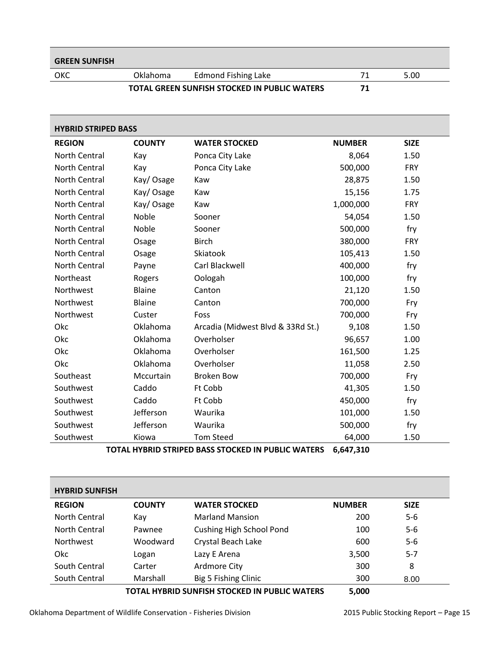### <span id="page-14-0"></span>OKC Oklahoma Edmond Fishing Lake 71 5.00 **TOTAL GREEN SUNFISH STOCKED IN PUBLIC WATERS 71**

<span id="page-14-1"></span>

|                      | <b>HYBRID STRIPED BASS</b> |                                   |               |             |  |  |
|----------------------|----------------------------|-----------------------------------|---------------|-------------|--|--|
| <b>REGION</b>        | <b>COUNTY</b>              | <b>WATER STOCKED</b>              | <b>NUMBER</b> | <b>SIZE</b> |  |  |
| <b>North Central</b> | Kay                        | Ponca City Lake                   | 8,064         | 1.50        |  |  |
| <b>North Central</b> | Kay                        | Ponca City Lake                   | 500,000       | <b>FRY</b>  |  |  |
| North Central        | Kay/Osage                  | Kaw                               | 28,875        | 1.50        |  |  |
| North Central        | Kay/Osage                  | Kaw                               | 15,156        | 1.75        |  |  |
| North Central        | Kay/Osage                  | Kaw                               | 1,000,000     | <b>FRY</b>  |  |  |
| North Central        | Noble                      | Sooner                            | 54,054        | 1.50        |  |  |
| <b>North Central</b> | Noble                      | Sooner                            | 500,000       | fry         |  |  |
| North Central        | Osage                      | <b>Birch</b>                      | 380,000       | <b>FRY</b>  |  |  |
| North Central        | Osage                      | Skiatook                          | 105,413       | 1.50        |  |  |
| North Central        | Payne                      | Carl Blackwell                    | 400,000       | fry         |  |  |
| Northeast            | Rogers                     | Oologah                           | 100,000       | fry         |  |  |
| Northwest            | <b>Blaine</b>              | Canton                            | 21,120        | 1.50        |  |  |
| Northwest            | Blaine                     | Canton                            | 700,000       | Fry         |  |  |
| Northwest            | Custer                     | Foss                              | 700,000       | Fry         |  |  |
| Okc                  | Oklahoma                   | Arcadia (Midwest Blvd & 33Rd St.) | 9,108         | 1.50        |  |  |
| Okc                  | Oklahoma                   | Overholser                        | 96,657        | 1.00        |  |  |
| Okc                  | Oklahoma                   | Overholser                        | 161,500       | 1.25        |  |  |
| Okc                  | Oklahoma                   | Overholser                        | 11,058        | 2.50        |  |  |
| Southeast            | Mccurtain                  | <b>Broken Bow</b>                 | 700,000       | Fry         |  |  |
| Southwest            | Caddo                      | Ft Cobb                           | 41,305        | 1.50        |  |  |
| Southwest            | Caddo                      | Ft Cobb                           | 450,000       | fry         |  |  |
| Southwest            | Jefferson                  | Waurika                           | 101,000       | 1.50        |  |  |
| Southwest            | Jefferson                  | Waurika                           | 500,000       | fry         |  |  |
| Southwest            | Kiowa                      | <b>Tom Steed</b>                  | 64,000        | 1.50        |  |  |

**TOTAL HYBRID STRIPED BASS STOCKED IN PUBLIC WATERS 6,647,310**

<span id="page-14-2"></span>

| <b>HYBRID SUNFISH</b> |               |                                               |               |             |
|-----------------------|---------------|-----------------------------------------------|---------------|-------------|
| <b>REGION</b>         | <b>COUNTY</b> | <b>WATER STOCKED</b>                          | <b>NUMBER</b> | <b>SIZE</b> |
| North Central         | Kay           | <b>Marland Mansion</b>                        | 200           | $5-6$       |
| North Central         | Pawnee        | <b>Cushing High School Pond</b>               | 100           | $5-6$       |
| <b>Northwest</b>      | Woodward      | Crystal Beach Lake                            | 600           | $5-6$       |
| Okc.                  | Logan         | Lazy E Arena                                  | 3,500         | $5 - 7$     |
| South Central         | Carter        | Ardmore City                                  | 300           | 8           |
| South Central         | Marshall      | Big 5 Fishing Clinic                          | 300           | 8.00        |
|                       |               | TOTAL HYBRID SUNFISH STOCKED IN PUBLIC WATERS | 5,000         |             |

Oklahoma Department of Wildlife Conservation - Fisheries Division 2015 Public Stocking Report – Page 15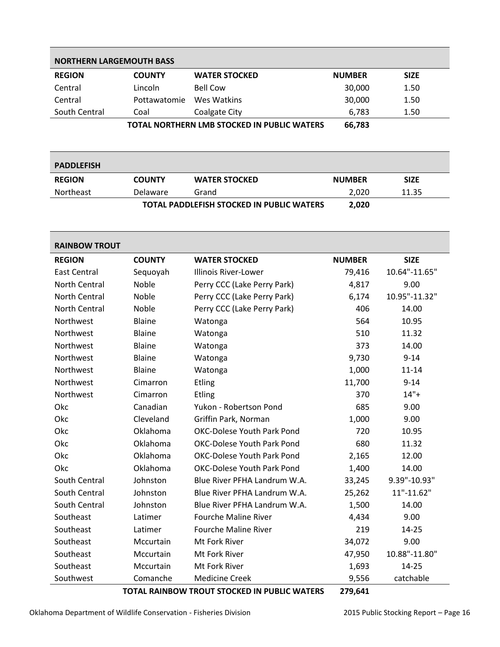<span id="page-15-0"></span>

| <b>NORTHERN LARGEMOUTH BASS</b>             |               |                      |               |             |  |
|---------------------------------------------|---------------|----------------------|---------------|-------------|--|
| <b>REGION</b>                               | <b>COUNTY</b> | <b>WATER STOCKED</b> | <b>NUMBER</b> | <b>SIZE</b> |  |
| Central                                     | Lincoln       | <b>Bell Cow</b>      | 30,000        | 1.50        |  |
| Central                                     | Pottawatomie  | Wes Watkins          | 30,000        | 1.50        |  |
| South Central                               | Coal          | Coalgate City        | 6,783         | 1.50        |  |
| TOTAL NORTHERN LMB STOCKED IN PUBLIC WATERS |               |                      | 66,783        |             |  |

<span id="page-15-1"></span>

| <b>PADDLEFISH</b> |               |                                                  |               |             |
|-------------------|---------------|--------------------------------------------------|---------------|-------------|
| <b>REGION</b>     | <b>COUNTY</b> | <b>WATER STOCKED</b>                             | <b>NUMBER</b> | <b>SIZE</b> |
| Northeast         | Delaware      | Grand                                            | 2.020         | 11.35       |
|                   |               | <b>TOTAL PADDLEFISH STOCKED IN PUBLIC WATERS</b> | 2,020         |             |

<span id="page-15-2"></span>

| <b>RAINBOW TROUT</b> |               |                                   |               |               |
|----------------------|---------------|-----------------------------------|---------------|---------------|
| <b>REGION</b>        | <b>COUNTY</b> | <b>WATER STOCKED</b>              | <b>NUMBER</b> | <b>SIZE</b>   |
| East Central         | Sequoyah      | <b>Illinois River-Lower</b>       | 79,416        | 10.64"-11.65" |
| North Central        | <b>Noble</b>  | Perry CCC (Lake Perry Park)       | 4,817         | 9.00          |
| North Central        | Noble         | Perry CCC (Lake Perry Park)       | 6,174         | 10.95"-11.32" |
| North Central        | Noble         | Perry CCC (Lake Perry Park)       | 406           | 14.00         |
| Northwest            | <b>Blaine</b> | Watonga                           | 564           | 10.95         |
| Northwest            | <b>Blaine</b> | Watonga                           | 510           | 11.32         |
| Northwest            | Blaine        | Watonga                           | 373           | 14.00         |
| Northwest            | <b>Blaine</b> | Watonga                           | 9,730         | $9 - 14$      |
| Northwest            | <b>Blaine</b> | Watonga                           | 1,000         | $11 - 14$     |
| Northwest            | Cimarron      | Etling                            | 11,700        | $9 - 14$      |
| Northwest            | Cimarron      | Etling                            | 370           | $14"+$        |
| Okc                  | Canadian      | Yukon - Robertson Pond            | 685           | 9.00          |
| Okc                  | Cleveland     | Griffin Park, Norman              | 1,000         | 9.00          |
| Okc                  | Oklahoma      | <b>OKC-Dolese Youth Park Pond</b> | 720           | 10.95         |
| Okc                  | Oklahoma      | <b>OKC-Dolese Youth Park Pond</b> | 680           | 11.32         |
| Okc                  | Oklahoma      | <b>OKC-Dolese Youth Park Pond</b> | 2,165         | 12.00         |
| Okc                  | Oklahoma      | <b>OKC-Dolese Youth Park Pond</b> | 1,400         | 14.00         |
| South Central        | Johnston      | Blue River PFHA Landrum W.A.      | 33,245        | 9.39"-10.93"  |
| South Central        | Johnston      | Blue River PFHA Landrum W.A.      | 25,262        | 11"-11.62"    |
| South Central        | Johnston      | Blue River PFHA Landrum W.A.      | 1,500         | 14.00         |
| Southeast            | Latimer       | <b>Fourche Maline River</b>       | 4,434         | 9.00          |
| Southeast            | Latimer       | <b>Fourche Maline River</b>       | 219           | 14-25         |
| Southeast            | Mccurtain     | Mt Fork River                     | 34,072        | 9.00          |
| Southeast            | Mccurtain     | Mt Fork River                     | 47,950        | 10.88"-11.80" |
| Southeast            | Mccurtain     | Mt Fork River                     | 1,693         | 14-25         |
| Southwest            | Comanche      | <b>Medicine Creek</b>             | 9,556         | catchable     |

**TOTAL RAINBOW TROUT STOCKED IN PUBLIC WATERS 279,641**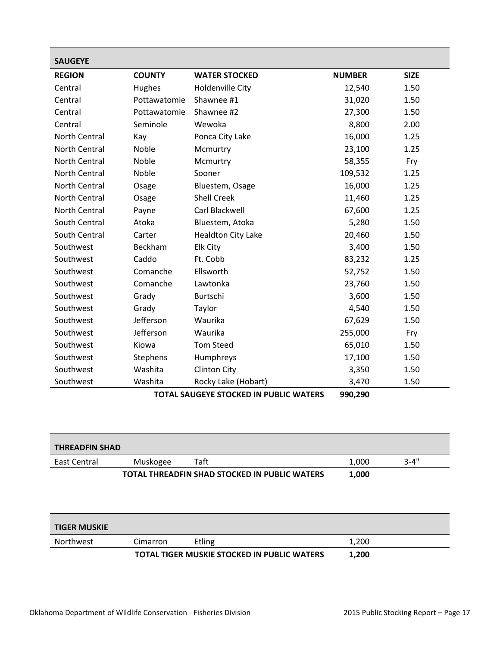<span id="page-16-0"></span>

| <b>SAUGEYE</b> |                                                          |                           |               |             |  |
|----------------|----------------------------------------------------------|---------------------------|---------------|-------------|--|
| <b>REGION</b>  | <b>COUNTY</b>                                            | <b>WATER STOCKED</b>      | <b>NUMBER</b> | <b>SIZE</b> |  |
| Central        | Hughes                                                   | <b>Holdenville City</b>   | 12,540        | 1.50        |  |
| Central        | Pottawatomie                                             | Shawnee #1                | 31,020        | 1.50        |  |
| Central        | Pottawatomie                                             | Shawnee #2                | 27,300        | 1.50        |  |
| Central        | Seminole                                                 | Wewoka                    | 8,800         | 2.00        |  |
| North Central  | Kay                                                      | Ponca City Lake           | 16,000        | 1.25        |  |
| North Central  | Noble                                                    | Mcmurtry                  | 23,100        | 1.25        |  |
| North Central  | Noble                                                    | Mcmurtry                  | 58,355        | Fry         |  |
| North Central  | Noble                                                    | Sooner                    | 109,532       | 1.25        |  |
| North Central  | Osage                                                    | Bluestem, Osage           | 16,000        | 1.25        |  |
| North Central  | Osage                                                    | <b>Shell Creek</b>        | 11,460        | 1.25        |  |
| North Central  | Payne                                                    | Carl Blackwell            | 67,600        | 1.25        |  |
| South Central  | Atoka                                                    | Bluestem, Atoka           | 5,280         | 1.50        |  |
| South Central  | Carter                                                   | <b>Healdton City Lake</b> | 20,460        | 1.50        |  |
| Southwest      | Beckham                                                  | Elk City                  | 3,400         | 1.50        |  |
| Southwest      | Caddo                                                    | Ft. Cobb                  | 83,232        | 1.25        |  |
| Southwest      | Comanche                                                 | Ellsworth                 | 52,752        | 1.50        |  |
| Southwest      | Comanche                                                 | Lawtonka                  | 23,760        | 1.50        |  |
| Southwest      | Grady                                                    | Burtschi                  | 3,600         | 1.50        |  |
| Southwest      | Grady                                                    | Taylor                    | 4,540         | 1.50        |  |
| Southwest      | Jefferson                                                | Waurika                   | 67,629        | 1.50        |  |
| Southwest      | Jefferson                                                | Waurika                   | 255,000       | Fry         |  |
| Southwest      | Kiowa                                                    | <b>Tom Steed</b>          | 65,010        | 1.50        |  |
| Southwest      | Stephens                                                 | Humphreys                 | 17,100        | 1.50        |  |
| Southwest      | Washita                                                  | <b>Clinton City</b>       | 3,350         | 1.50        |  |
| Southwest      | Washita                                                  | Rocky Lake (Hobart)       | 3,470         | 1.50        |  |
|                | <b>TOTAL SAUGEYE STOCKED IN PUBLIC WATERS</b><br>990,290 |                           |               |             |  |

<span id="page-16-1"></span>

| <b>THREADFIN SHAD</b> |          |                                               |       |          |
|-----------------------|----------|-----------------------------------------------|-------|----------|
| East Central          | Muskogee | Taft                                          | 1.000 | $3 - 4"$ |
|                       |          | TOTAL THREADFIN SHAD STOCKED IN PUBLIC WATERS | 1,000 |          |

<span id="page-16-2"></span>

| <b>TIGER MUSKIE</b> |          |                                                    |       |  |
|---------------------|----------|----------------------------------------------------|-------|--|
| Northwest           | Cimarron | Etling                                             | 1,200 |  |
|                     |          | <b>TOTAL TIGER MUSKIE STOCKED IN PUBLIC WATERS</b> | 1,200 |  |